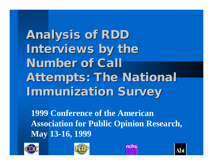**Analysis of RDD Interviews by the Number of Call Attempts: The National Immunization Survey**

**1999 Conference of the American Association for Public Opinion Research, May 13-16, 1999**







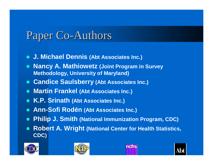# Paper Co-Authors

- $\bullet$  **J. Michael Dennis (Abt Associates Inc.)**
- l **Nancy A. Mathiowetz (Joint Program in Survey Methodology, University of Maryland)**
- **Candice Saulsberry (Abt Associates Inc.)**
- **Martin Frankel (Abt Associates Inc.)**
- **K.P. Srinath (Abt Associates Inc.)**
- **Ann-Sofi Rodén (Abt Associates Inc.)**
- l **Philip J. Smith (National Immunization Program, CDC)**
- **Robert A. Wright (National Center for Health Statistics, CDC)**







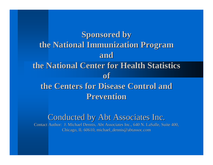**Sponsored by the National Immunization Program and the National Center for Health Statistics of the Centers for Disease Control and Prevention**

#### Conducted by Abt Associates Inc.

Contact Author: J. Michael Dennis, Abt Associates Inc., 640 N. LaSalle, Suite 400, Chicago, IL 60610, michael\_dennis@abtassoc.com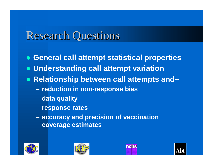# Research Questions

- **General call attempt statistical properties**
- **Understanding call attempt variation**
- **Relationship between call attempts and--**
	- **reduction in non-response bias**
	- **data quality**
	- **response rates**
	- **accuracy and precision of vaccination coverage estimates**







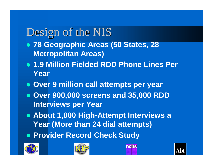# Design of the NIS

- l **78 Geographic Areas (50 States, 28 Metropolitan Areas)**
- **1.9 Million Fielded RDD Phone Lines Per Year**
- **Over 9 million call attempts per year**
- l **Over 900,000 screens and 35,000 RDD Interviews per Year**
- **About 1,000 High-Attempt Interviews a Year (More than 24 dial attempts)**
- **Provider Record Check Study**







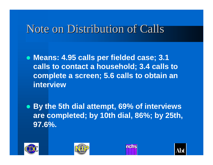## Note on Distribution of Calls

**• Means: 4.95 calls per fielded case; 3.1 calls to contact a household; 3.4 calls to complete a screen; 5.6 calls to obtain an interview**

l **By the 5th dial attempt, 69% of interviews are completed; by 10th dial, 86%; by 25th, 97.6%.**







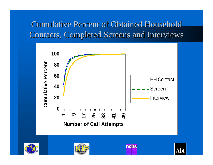### Cumulative Percent of Obtained Household Contacts, Completed Screens and Interviews



nehs

Abt



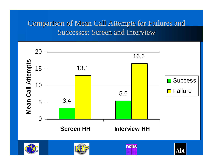#### Comparison of Mean Call Attempts for Failures and Successes: Screen and Interview

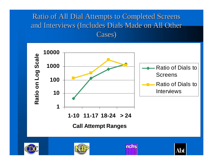#### Ratio of All Dial Attempts to Completed Screens and Interviews (Includes Dials Made on All Other Cases)

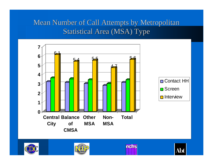#### Mean Number of Call Attempts by Metropolitan Statistical Area (MSA) Type









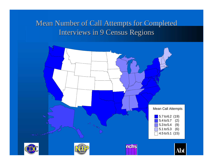#### Mean Number of Call Attempts for Completed Interviews in 9 Census Regions

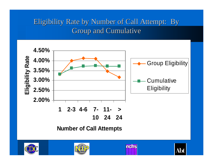#### Eligibility Rate by Number of Call Attempt: By Group and Cumulative

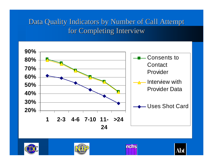#### Data Quality Indicators by Number of Call Attempt for Completing Interview







nehs

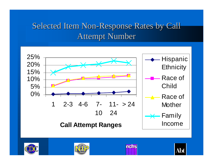### Selected Item Non-Response Rates by Call Attempt Number









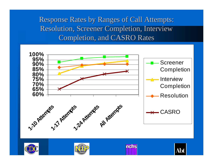Response Rates by Ranges of Call Attempts: Resolution, Screener Completion, Interview Completion, and CASRO Rates

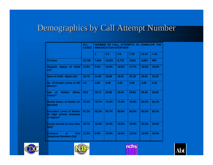### Demographics by Call Attempt Number

|                                                                            | <b>ALL</b><br><b>CASES</b> | NUMBER OF CALL ATTEMPTS TO COMPLETE THE<br><b>IMMUNIZATION INTERVIEW</b> |         |         |          |           |       |
|----------------------------------------------------------------------------|----------------------------|--------------------------------------------------------------------------|---------|---------|----------|-----------|-------|
|                                                                            |                            | 1                                                                        | $2 - 3$ | $4 - 6$ | $7 - 10$ | $11 - 24$ | > 24  |
| <b>N</b> Cases                                                             | 32,795                     | 7,646                                                                    | 10,021  | 6,779   | 3,912    | 3,582     | 855   |
| <b>Hispanic Status of Child</b><br>$(%)^*$                                 | 14.8%                      | 9.4%                                                                     | 15.0%   | 16.8%   | 17.7%    | 18.0%     | 18.0% |
| Race of Child - Black (%)*                                                 | 18.7%                      | 14.45                                                                    | 16.68   | 18.91   | 22.19    | 25.91     | 33.33 |
| No. of People Living in HH<br>(Mean)**                                     | 4.3                        | 4.28                                                                     | 4.29    | 4.32    | 4.30     | 4.28      | 4.15  |
| <b>Mother</b><br>(Mean<br>Age<br><b>of</b><br>Years)**                     | 29.8                       | 29.71                                                                    | 29.85   | 29.94   | 29.84    | 29.46     | 29.00 |
| <b>Marital Status of Mother (%</b><br><b>Married</b> )*                    | 72.1%                      | 75.7%                                                                    | 74.3%   | 71.4%   | 70.9%    | 64.9%     | 55.1% |
| <b>Education Level of Mother</b><br>(% High School Graduate<br>or Higher)* | 87.2%                      | 90.3%                                                                    | 86.7%   | 85.8%   | 86.0%    | 85.8%     | 86.3% |
| <b>Family Income (% less than</b><br>$15K$ <sup>*</sup>                    | 18.7%                      | 16.3%                                                                    | 18.4%   | 19.0%   | 19.9%    | 22.0%     | 24.0% |
| of<br><b>Two</b><br><b>Presence</b><br><b>Telephone Numbers (%)*</b>       | 11.0%                      | 9.9%                                                                     | 10.3%   | 10.6%   | 12.0%    | 13.9%     | 15.2% |







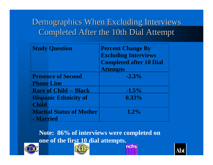### Demographics When Excluding Interviews Completed After the 10th Dial Attempt

|                   | <b>Study Question</b>           | <b>Percent Change By</b><br><b>Excluding Interviews</b><br><b>Completed after 10 Dial</b><br><b>Attempts</b> |
|-------------------|---------------------------------|--------------------------------------------------------------------------------------------------------------|
| <b>Phone Line</b> | <b>Presence of Second</b>       | $-2.3\%$                                                                                                     |
|                   | <b>Race of Child -- Black</b>   | $-1.5\%$                                                                                                     |
|                   | <b>Hispanic Ethnicity of</b>    | $0.33\%$                                                                                                     |
| <b>Child</b>      |                                 |                                                                                                              |
| - Married         | <b>Marital Status of Mother</b> | $1.2\%$                                                                                                      |

**Note: 86% of interviews were completed on one of the first 10 dial attempts.** mehs

Abt



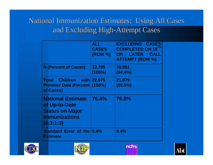#### National Immunization Estimates: Using All Cases and Excluding High-Attempt Cases

|                                                                                                          | <b>ALL</b><br><b>CASES</b><br>(ROW %) | <b>EXCLUDING CASES</b><br><b>COMPLETED ON 18</b><br><b>LATER</b><br><b>OR</b><br><b>CALL</b><br><b>ATTEMPT (ROW %)</b> |
|----------------------------------------------------------------------------------------------------------|---------------------------------------|------------------------------------------------------------------------------------------------------------------------|
| <b>N</b> (Percent of Cases)                                                                              | 32,795<br>$(100\%)$                   | 30,951<br>$(94.4\%)$                                                                                                   |
| Children with 22,075<br><b>Total</b><br><b>Provider Data (Percent (100%)</b><br>of Cases)                |                                       | 21,079<br>(95.5%)                                                                                                      |
| <b>National Estimate</b><br>of Up-to-Date<br><b>Status on Major</b><br><b>Immunizations</b><br>(4:3:1:3) | 76.4%                                 | 76.8%                                                                                                                  |
| Standard Error of the 0.4%<br><b>Estimate</b>                                                            |                                       | 0.4%                                                                                                                   |







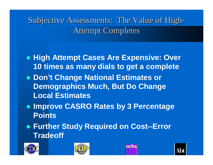Subjective Assessments: The Value of High-Attempt Completes

- **High Attempt Cases Are Expensive: Over 10 times as many dials to get a complete**
- **Don't Change National Estimates or Demographics Much, But Do Change Local Estimates**
- $\bullet$  **Improve CASRO Rates by 3 Percentage Points**
- **Further Study Required on Cost--Error Tradeoff**